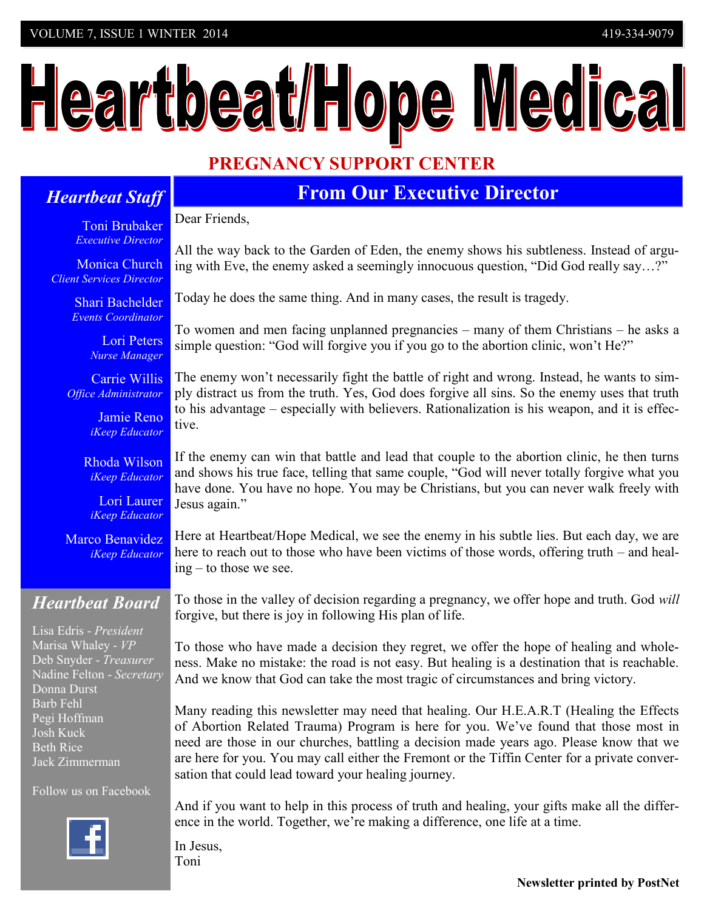# Heartbeat/Hope Medical

## **PREGNANCY SUPPORT CENTER**

### *Heartbeat Staff*

**From Our Executive Director**

Toni Brubaker *Executive Director*

Monica Church *Client Services Director*

> Shari Bachelder  *Events Coordinator*

> > Lori Peters *Nurse Manager*

Carrie Willis *Office Administrator*

> Jamie Reno *iKeep Educator*

Rhoda Wilson *iKeep Educator*

Lori Laurer *iKeep Educator*

Marco Benavidez *iKeep Educator*

## *Heartbeat Board*

Lisa Edris - *President* Marisa Whaley - *VP* Deb Snyder - *Treasurer* Nadine Felton - *Secretary* Donna Durst Barb Fehl Pegi Hoffman Josh Kuck Beth Rice Jack Zimmerman

Follow us on Facebook



Dear Friends,

All the way back to the Garden of Eden, the enemy shows his subtleness. Instead of arguing with Eve, the enemy asked a seemingly innocuous question, "Did God really say…?"

Today he does the same thing. And in many cases, the result is tragedy.

To women and men facing unplanned pregnancies – many of them Christians – he asks a simple question: "God will forgive you if you go to the abortion clinic, won't He?"

The enemy won't necessarily fight the battle of right and wrong. Instead, he wants to simply distract us from the truth. Yes, God does forgive all sins. So the enemy uses that truth to his advantage – especially with believers. Rationalization is his weapon, and it is effective.

If the enemy can win that battle and lead that couple to the abortion clinic, he then turns and shows his true face, telling that same couple, "God will never totally forgive what you have done. You have no hope. You may be Christians, but you can never walk freely with Jesus again."

Here at Heartbeat/Hope Medical, we see the enemy in his subtle lies. But each day, we are here to reach out to those who have been victims of those words, offering truth – and healing – to those we see.

To those in the valley of decision regarding a pregnancy, we offer hope and truth. God *will* forgive, but there is joy in following His plan of life.

To those who have made a decision they regret, we offer the hope of healing and wholeness. Make no mistake: the road is not easy. But healing is a destination that is reachable. And we know that God can take the most tragic of circumstances and bring victory.

Many reading this newsletter may need that healing. Our H.E.A.R.T (Healing the Effects of Abortion Related Trauma) Program is here for you. We've found that those most in need are those in our churches, battling a decision made years ago. Please know that we are here for you. You may call either the Fremont or the Tiffin Center for a private conversation that could lead toward your healing journey.

And if you want to help in this process of truth and healing, your gifts make all the difference in the world. Together, we're making a difference, one life at a time.

In Jesus, Toni

**Newsletter printed by PostNet**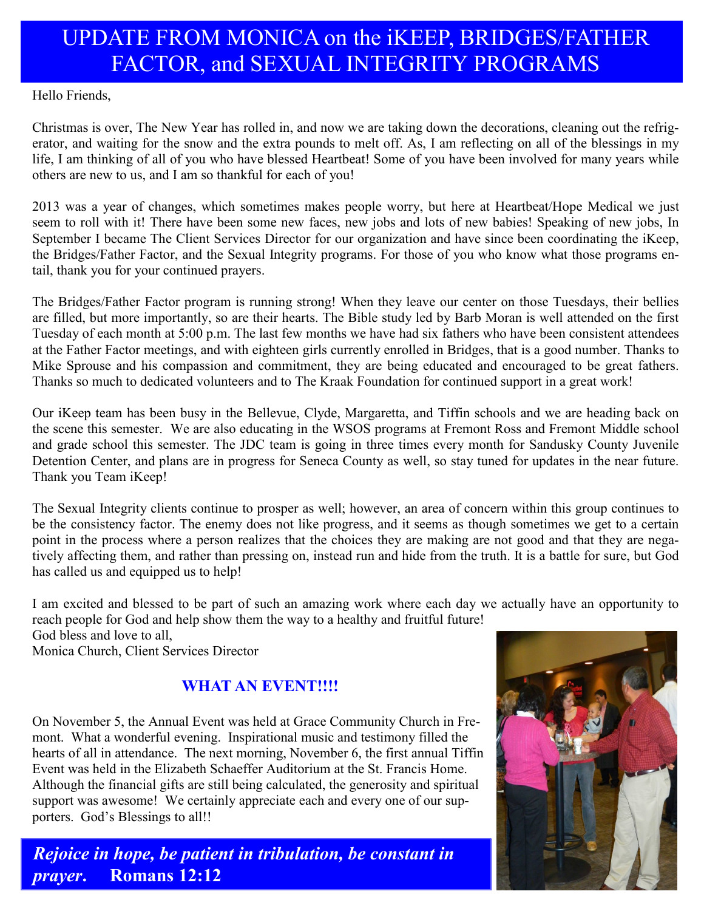## UPDATE FROM MONICA on the iKEEP, BRIDGES/FATHER FACTOR, and SEXUAL INTEGRITY PROGRAMS

Hello Friends,

Christmas is over, The New Year has rolled in, and now we are taking down the decorations, cleaning out the refrigerator, and waiting for the snow and the extra pounds to melt off. As, I am reflecting on all of the blessings in my life, I am thinking of all of you who have blessed Heartbeat! Some of you have been involved for many years while others are new to us, and I am so thankful for each of you!

2013 was a year of changes, which sometimes makes people worry, but here at Heartbeat/Hope Medical we just seem to roll with it! There have been some new faces, new jobs and lots of new babies! Speaking of new jobs, In September I became The Client Services Director for our organization and have since been coordinating the iKeep, the Bridges/Father Factor, and the Sexual Integrity programs. For those of you who know what those programs entail, thank you for your continued prayers.

The Bridges/Father Factor program is running strong! When they leave our center on those Tuesdays, their bellies are filled, but more importantly, so are their hearts. The Bible study led by Barb Moran is well attended on the first Tuesday of each month at 5:00 p.m. The last few months we have had six fathers who have been consistent attendees at the Father Factor meetings, and with eighteen girls currently enrolled in Bridges, that is a good number. Thanks to Mike Sprouse and his compassion and commitment, they are being educated and encouraged to be great fathers. Thanks so much to dedicated volunteers and to The Kraak Foundation for continued support in a great work!

Our iKeep team has been busy in the Bellevue, Clyde, Margaretta, and Tiffin schools and we are heading back on the scene this semester. We are also educating in the WSOS programs at Fremont Ross and Fremont Middle school and grade school this semester. The JDC team is going in three times every month for Sandusky County Juvenile Detention Center, and plans are in progress for Seneca County as well, so stay tuned for updates in the near future. Thank you Team iKeep!

The Sexual Integrity clients continue to prosper as well; however, an area of concern within this group continues to be the consistency factor. The enemy does not like progress, and it seems as though sometimes we get to a certain point in the process where a person realizes that the choices they are making are not good and that they are negatively affecting them, and rather than pressing on, instead run and hide from the truth. It is a battle for sure, but God has called us and equipped us to help!

I am excited and blessed to be part of such an amazing work where each day we actually have an opportunity to reach people for God and help show them the way to a healthy and fruitful future!

God bless and love to all,

Monica Church, Client Services Director

#### **WHAT AN EVENT!!!!**

On November 5, the Annual Event was held at Grace Community Church in Fremont. What a wonderful evening. Inspirational music and testimony filled the hearts of all in attendance. The next morning, November 6, the first annual Tiffin Event was held in the Elizabeth Schaeffer Auditorium at the St. Francis Home. Although the financial gifts are still being calculated, the generosity and spiritual support was awesome! We certainly appreciate each and every one of our supporters. God's Blessings to all!!



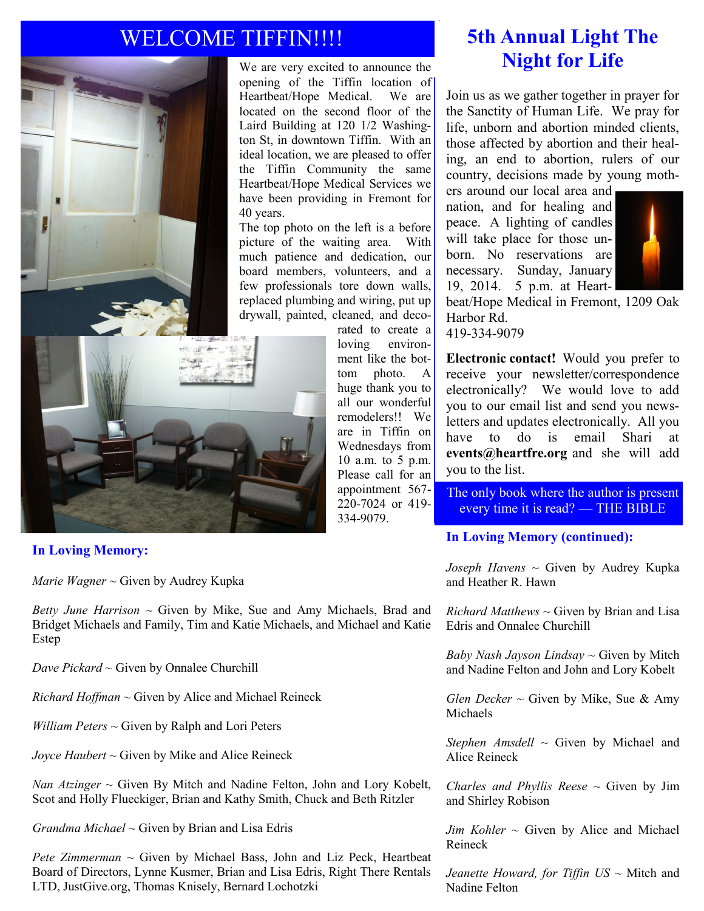## WELCOME TIFFIN!!!!



#### **In Loving Memory:**

*Marie Wagner ~* Given by Audrey Kupka

*Betty June Harrison ~* Given by Mike, Sue and Amy Michaels, Brad and Bridget Michaels and Family, Tim and Katie Michaels, and Michael and Katie Estep

*Dave Pickard ~* Given by Onnalee Churchill

*Richard Hoffman ~* Given by Alice and Michael Reineck

*William Peters ~* Given by Ralph and Lori Peters

*Joyce Haubert ~* Given by Mike and Alice Reineck

*Nan Atzinger ~* Given By Mitch and Nadine Felton, John and Lory Kobelt, Scot and Holly Flueckiger, Brian and Kathy Smith, Chuck and Beth Ritzler

*Grandma Michael ~* Given by Brian and Lisa Edris

*Pete Zimmerman* ~ Given by Michael Bass, John and Liz Peck, Heartbeat Board of Directors, Lynne Kusmer, Brian and Lisa Edris, Right There Rentals LTD, JustGive.org, Thomas Knisely, Bernard Lochotzki

## **5th Annual Light The Night for Life**

Join us as we gather together in prayer for the Sanctity of Human Life. We pray for life, unborn and abortion minded clients, those affected by abortion and their healing, an end to abortion, rulers of our country, decisions made by young moth-

ers around our local area and nation, and for healing and peace. A lighting of candles will take place for those unborn. No reservations are necessary. Sunday, January 19, 2014. 5 p.m. at Heart-



beat/Hope Medical in Fremont, 1209 Oak Harbor Rd. 419-334-9079

**Electronic contact!** Would you prefer to receive your newsletter/correspondence electronically? We would love to add you to our email list and send you newsletters and updates electronically. All you have to do is email Shari at **events@heartfre.org** and she will add you to the list.

The only book where the author is present every time it is read? — THE BIBLE

#### **In Loving Memory (continued):**

*Joseph Havens* ~ Given by Audrey Kupka and Heather R. Hawn

*Richard Matthews*  $\sim$  Given by Brian and Lisa Edris and Onnalee Churchill

*Baby Nash Jayson Lindsay* ~ Given by Mitch and Nadine Felton and John and Lory Kobelt

*Glen Decker*  $\sim$  Given by Mike, Sue & Amy Michaels

*Stephen Amsdell* ~ Given by Michael and Alice Reineck

*Charles and Phyllis Reese*  $\sim$  Given by Jim and Shirley Robison

 $Jim$  *Kohler*  $\sim$  Given by Alice and Michael Reineck

*Jeanette Howard, for Tiffin US* ~ Mitch and Nadine Felton

rated to create a loving environment like the bottom photo. A huge thank you to all our wonderful remodelers!! We are in Tiffin on Wednesdays from 10 a.m. to 5 p.m. Please call for an appointment 567- 220-7024 or 419- 334-9079.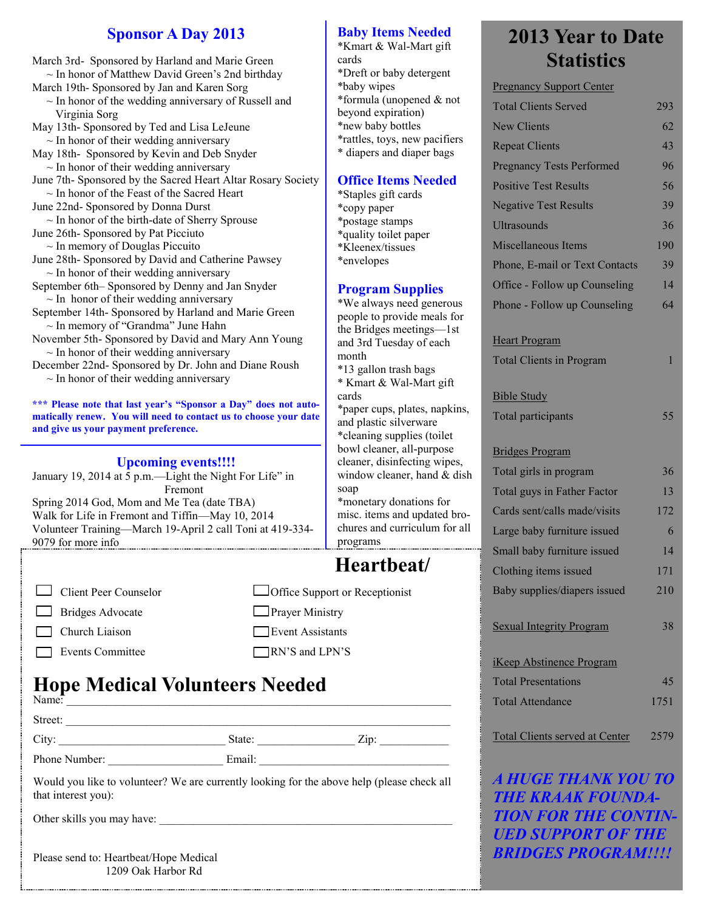#### **Sponsor A Day 2013**

March 3rd- Sponsored by Harland and Marie Green  $\sim$  In honor of Matthew David Green's 2nd birthday

- March 19th- Sponsored by Jan and Karen Sorg  $\sim$  In honor of the wedding anniversary of Russell and Virginia Sorg
- May 13th- Sponsored by Ted and Lisa LeJeune
- $\sim$  In honor of their wedding anniversary May 18th- Sponsored by Kevin and Deb Snyder
- $\sim$  In honor of their wedding anniversary
- June 7th- Sponsored by the Sacred Heart Altar Rosary Society  $\sim$  In honor of the Feast of the Sacred Heart
- June 22nd- Sponsored by Donna Durst
- $\sim$  In honor of the birth-date of Sherry Sprouse June 26th- Sponsored by Pat Picciuto
- $\sim$  In memory of Douglas Piccuito
- June 28th- Sponsored by David and Catherine Pawsey  $\sim$  In honor of their wedding anniversary
- September 6th– Sponsored by Denny and Jan Snyder  $\sim$  In honor of their wedding anniversary
- September 14th- Sponsored by Harland and Marie Green ~ In memory of "Grandma" June Hahn
- November 5th- Sponsored by David and Mary Ann Young  $\sim$  In honor of their wedding anniversary
- December 22nd- Sponsored by Dr. John and Diane Roush  $\sim$  In honor of their wedding anniversary

**\*\*\* Please note that last year's "Sponsor a Day" does not automatically renew. You will need to contact us to choose your date and give us your payment preference.**

#### **Upcoming events!!!!**

January 19, 2014 at  $\overline{5}$  p.m.—Light the Night For Life" in Fremont Spring 2014 God, Mom and Me Tea (date TBA) Walk for Life in Fremont and Tiffin—May 10, 2014 Volunteer Training—March 19-April 2 call Toni at 419-334- 9079 for more info

| $\Box$ Client Peer Counselor |
|------------------------------|
| $\Box$ Bridges Advocate      |
| $\Box$ Church Liaison        |
| Events Committee             |

## **Hope Medical Volunteers Needed**

| Name: $\overline{\phantom{a}}$ |        |                  |
|--------------------------------|--------|------------------|
| Street:                        |        |                  |
| City:                          | State: | $\mathrm{Zip}$ : |

Phone Number: \_\_\_\_\_\_\_\_\_\_\_\_\_\_\_\_\_\_\_\_ Email: \_\_\_\_\_\_\_\_\_\_\_\_\_\_\_\_\_\_\_\_\_\_\_\_\_\_\_\_\_\_\_\_\_

Would you like to volunteer? We are currently looking for the above help (please check all that interest you):

Other skills you may have:

Please send to: Heartbeat/Hope Medical 1209 Oak Harbor Rd

#### **Baby Items Needed**

\*Kmart & Wal-Mart gift cards \*Dreft or baby detergent \*baby wipes \*formula (unopened & not beyond expiration) \*new baby bottles \*rattles, toys, new pacifiers \* diapers and diaper bags

#### **Office Items Needed**

\*Staples gift cards \*copy paper \*postage stamps \*quality toilet paper \*Kleenex/tissues \*envelopes

#### **Program Supplies**

\*We always need generous people to provide meals for the Bridges meetings—1st and 3rd Tuesday of each month

\*13 gallon trash bags \* Kmart & Wal-Mart gift cards

\*paper cups, plates, napkins, and plastic silverware \*cleaning supplies (toilet bowl cleaner, all-purpose cleaner, disinfecting wipes, window cleaner, hand & dish soap \*monetary donations for misc. items and updated bro-

chures and curriculum for all

## **Heartbeat/**

programs

□ Office Support or Receptionist **Prayer Ministry Event Assistants** RN'S and LPN'S

## **2013 Year to Date Statistics**

| <b>Pregnancy Support Center</b>       |      |
|---------------------------------------|------|
| <b>Total Clients Served</b>           | 293  |
| <b>New Clients</b>                    | 62   |
| <b>Repeat Clients</b>                 | 43   |
| <b>Pregnancy Tests Performed</b>      | 96   |
| <b>Positive Test Results</b>          | 56   |
| <b>Negative Test Results</b>          | 39   |
| <b>Ultrasounds</b>                    | 36   |
| Miscellaneous Items                   | 190  |
| Phone, E-mail or Text Contacts        | 39   |
| Office - Follow up Counseling         | 14   |
| Phone - Follow up Counseling          | 64   |
| <b>Heart Program</b>                  |      |
| <b>Total Clients in Program</b>       | 1    |
| <b>Bible Study</b>                    |      |
| <b>Total participants</b>             | 55   |
| <b>Bridges Program</b>                |      |
| Total girls in program                | 36   |
| Total guys in Father Factor           | 13   |
| Cards sent/calls made/visits          | 172  |
| Large baby furniture issued           | 6    |
| Small baby furniture issued           | 14   |
| Clothing items issued                 | 171  |
| Baby supplies/diapers issued          | 210  |
| <b>Sexual Integrity Program</b>       | 38   |
| <b>iKeep Abstinence Program</b>       |      |
| <b>Total Presentations</b>            | 45   |
| <b>Total Attendance</b>               | 1751 |
| <b>Total Clients served at Center</b> | 2579 |
| <u>i hiice tii inv vallta.</u>        |      |

*A HUGE THANK YOU TO THE KRAAK FOUNDA-TION FOR THE CONTIN-UED SUPPORT OF THE BRIDGES PROGRAM!!!!*